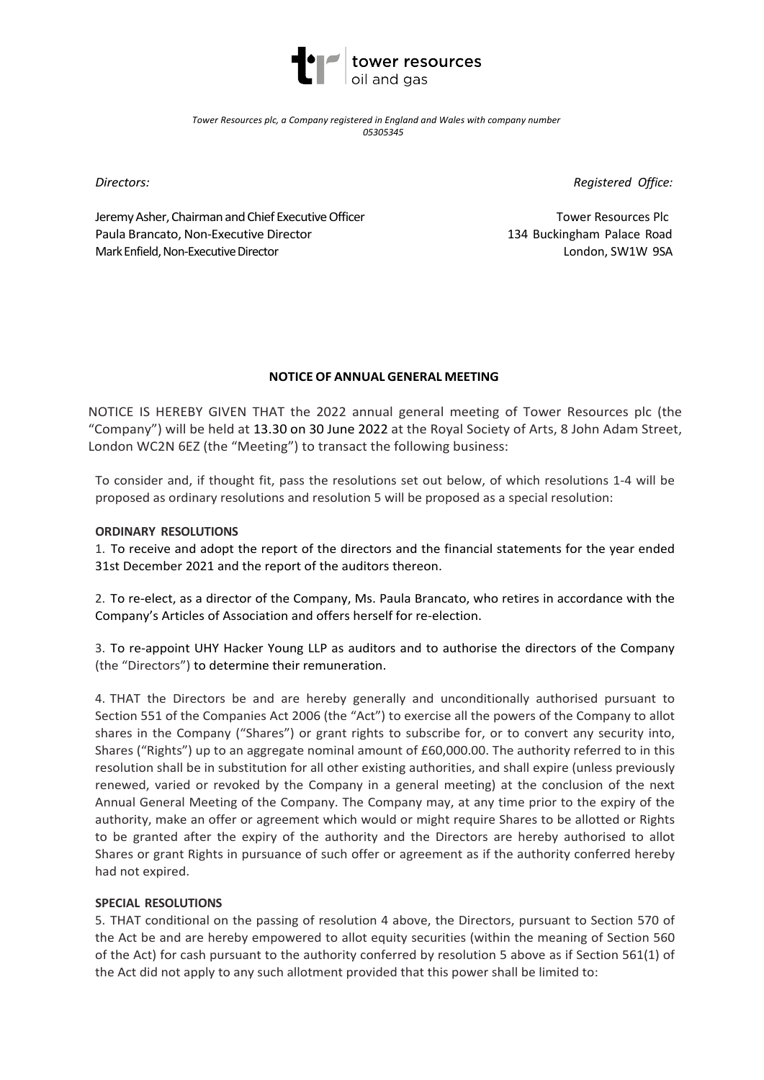

*Tower Resources plc, a Company registered in England and Wales with company number 05305345*

*Directors:*

*Registered Office:*

Jeremy Asher, Chairman and Chief Executive Officer Paula Brancato, Non-Executive Director Mark Enfield, Non-Executive Director

Tower Resources Plc 134 Buckingham Palace Road London, SW1W 9SA

# **NOTICE OF ANNUAL GENERAL MEETING**

NOTICE IS HEREBY GIVEN THAT the 2022 annual general meeting of Tower Resources plc (the "Company") will be held at 13.30 on 30 June 2022 at the Royal Society of Arts, 8 John Adam Street, London WC2N 6EZ (the "Meeting") to transact the following business:

To consider and, if thought fit, pass the resolutions set out below, of which resolutions 1-4 will be proposed as ordinary resolutions and resolution 5 will be proposed as a special resolution:

## **ORDINARY RESOLUTIONS**

1. To receive and adopt the report of the directors and the financial statements for the year ended 31st December 2021 and the report of the auditors thereon.

2. To re-elect, as a director of the Company, Ms. Paula Brancato, who retires in accordance with the Company's Articles of Association and offers herself for re-election.

3. To re-appoint UHY Hacker Young LLP as auditors and to authorise the directors of the Company (the "Directors") to determine their remuneration.

4. THAT the Directors be and are hereby generally and unconditionally authorised pursuant to Section 551 of the Companies Act 2006 (the "Act") to exercise all the powers of the Company to allot shares in the Company ("Shares") or grant rights to subscribe for, or to convert any security into, Shares ("Rights") up to an aggregate nominal amount of £60,000.00. The authority referred to in this resolution shall be in substitution for all other existing authorities, and shall expire (unless previously renewed, varied or revoked by the Company in a general meeting) at the conclusion of the next Annual General Meeting of the Company. The Company may, at any time prior to the expiry of the authority, make an offer or agreement which would or might require Shares to be allotted or Rights to be granted after the expiry of the authority and the Directors are hereby authorised to allot Shares or grant Rights in pursuance of such offer or agreement as if the authority conferred hereby had not expired.

## **SPECIAL RESOLUTIONS**

5. THAT conditional on the passing of resolution 4 above, the Directors, pursuant to Section 570 of the Act be and are hereby empowered to allot equity securities (within the meaning of Section 560 of the Act) for cash pursuant to the authority conferred by resolution 5 above as if Section 561(1) of the Act did not apply to any such allotment provided that this power shall be limited to: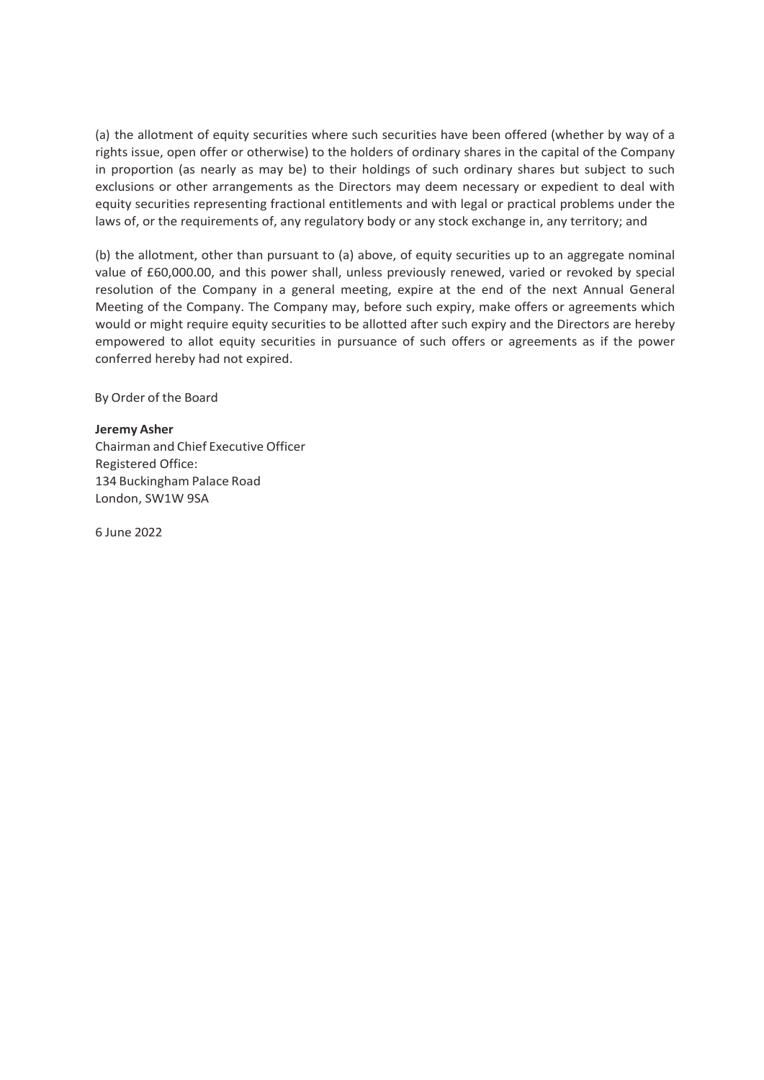(a) the allotment of equity securities where such securities have been offered (whether by way of a rights issue, open offer or otherwise) to the holders of ordinary shares in the capital of the Company in proportion (as nearly as may be) to their holdings of such ordinary shares but subject to such exclusions or other arrangements as the Directors may deem necessary or expedient to deal with equity securities representing fractional entitlements and with legal or practical problems under the laws of, or the requirements of, any regulatory body or any stock exchange in, any territory; and

(b) the allotment, other than pursuant to (a) above, of equity securities up to an aggregate nominal value of £60,000.00, and this power shall, unless previously renewed, varied or revoked by special resolution of the Company in a general meeting, expire at the end of the next Annual General Meeting of the Company. The Company may, before such expiry, make offers or agreements which would or might require equity securities to be allotted after such expiry and the Directors are hereby empowered to allot equity securities in pursuance of such offers or agreements as if the power conferred hereby had not expired.

By Order of the Board

#### **Jeremy Asher**

Chairman and Chief Executive Officer Registered Office: 134 Buckingham Palace Road London, SW1W 9SA

6 June 2022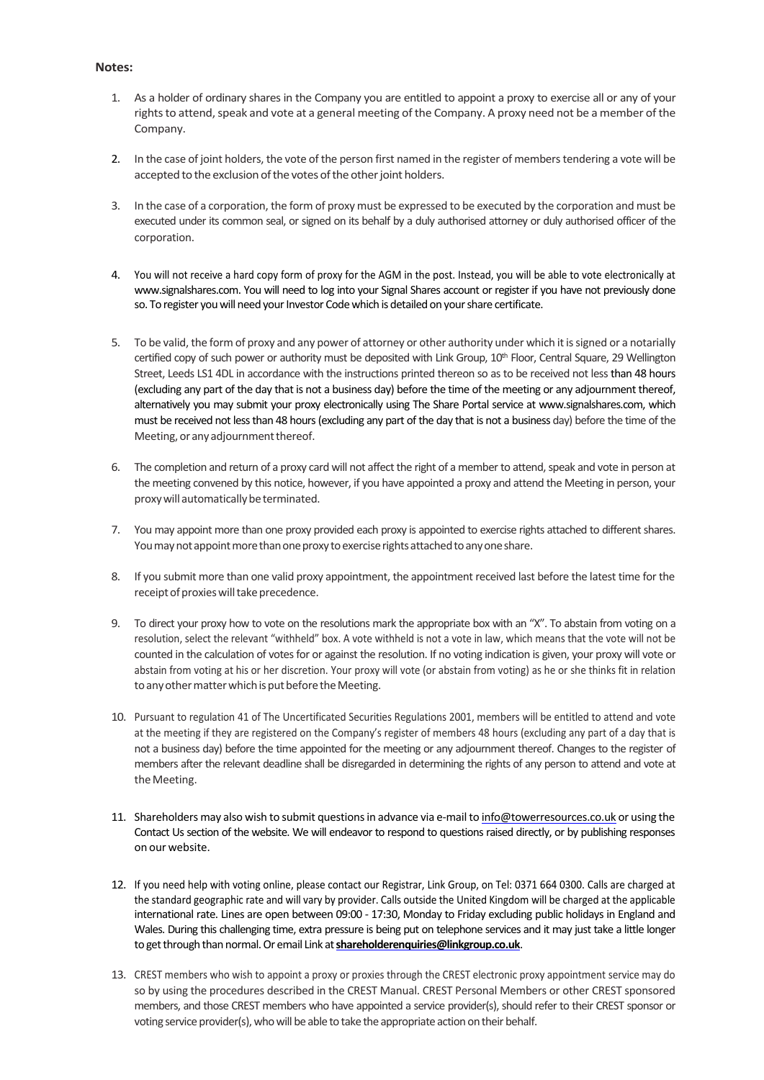#### **Notes:**

- 1. As a holder of ordinary shares in the Company you are entitled to appoint a proxy to exercise all or any of your rights to attend, speak and vote at a general meeting of the Company. A proxy need not be a member of the Company.
- 2. In the case of joint holders, the vote of the person first named in the register of members tendering a vote will be accepted to the exclusion of the votes of the other joint holders.
- 3. In the case of a corporation, the form of proxy must be expressed to be executed by the corporation and must be executed under its common seal, or signed on its behalf by a duly authorised attorney or duly authorised officer of the corporation.
- 4. You will not receive a hard copy form of proxy for the AGM in the post. Instead, you will be able to vote electronically at www.signalshares.com. You will need to log into your Signal Shares account or register if you have not previously done so. To register you will need your Investor Code which is detailed on your share certificate.
- 5. To be valid, the form of proxy and any power of attorney or other authority under which it issigned or a notarially certified copy of such power or authority must be deposited with Link Group,  $10^{th}$  Floor, Central Square, 29 Wellington Street, Leeds LS1 4DL in accordance with the instructions printed thereon so as to be received not less than 48 hours (excluding any part of the day that is not a business day) before the time of the meeting or any adjournment thereof, alternatively you may submit your proxy electronically using The Share Portal service at www.signalshares.com, which must be received not less than 48 hours (excluding any part of the day that is not a business day) before the time of the Meeting, or any adjournment thereof.
- 6. The completion and return of a proxy card will not affect the right of a member to attend, speak and vote in person at the meeting convened by this notice, however, if you have appointed a proxy and attend the Meeting in person, your proxy will automatically be terminated.
- 7. You may appoint more than one proxy provided each proxy is appointed to exercise rights attached to different shares. You may not appoint more than one proxy to exercise rights attached to any one share.
- 8. If you submit more than one valid proxy appointment, the appointment received last before the latest time for the receipt of proxies will take precedence.
- 9. To direct your proxy how to vote on the resolutions mark the appropriate box with an "X". To abstain from voting on a resolution, select the relevant "withheld" box. A vote withheld is not a vote in law, which means that the vote will not be counted in the calculation of votes for or against the resolution. If no voting indication is given, your proxy will vote or abstain from voting at his or her discretion. Your proxy will vote (or abstain from voting) as he or she thinks fit in relation to any other matter which is put before the Meeting.
- 10. Pursuant to regulation 41 of The Uncertificated Securities Regulations 2001, members will be entitled to attend and vote at the meeting if they are registered on the Company's register of members 48 hours (excluding any part of a day that is not a business day) before the time appointed for the meeting or any adjournment thereof. Changes to the register of members after the relevant deadline shall be disregarded in determining the rights of any person to attend and vote at the Meeting.
- 11. Shareholders may also wish to submit questionsin advance via e-mail to info@towerresources.co.uk or using the Contact Us section of the website. We will endeavor to respond to questions raised directly, or by publishing responses on our website.
- 12. If you need help with voting online, please contact our Registrar, Link Group, on Tel: 0371 664 0300. Calls are charged at the standard geographic rate and will vary by provider. Calls outside the United Kingdom will be charged at the applicable international rate. Lines are open between 09:00 - 17:30, Monday to Friday excluding public holidays in England and Wales. During this challenging time, extra pressure is being put on telephone services and it may just take a little longer to get through than normal. Or email Link at shareholderenquiries@linkgroup.co.uk.
- 13. CREST members who wish to appoint a proxy or proxies through the CREST electronic proxy appointment service may do so by using the procedures described in the CREST Manual. CREST Personal Members or other CREST sponsored members, and those CREST members who have appointed a service provider(s), should refer to their CREST sponsor or voting service provider(s), who will be able to take the appropriate action on their behalf.